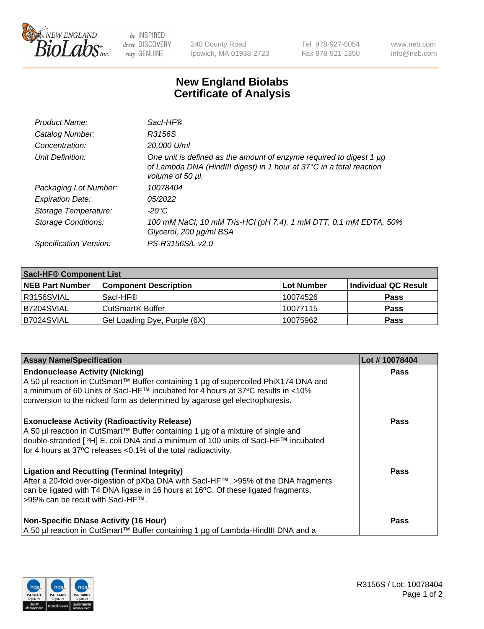

 $be$  INSPIRED drive DISCOVERY stay GENUINE

240 County Road Ipswich, MA 01938-2723 Tel 978-927-5054 Fax 978-921-1350 www.neb.com info@neb.com

## **New England Biolabs Certificate of Analysis**

| Product Name:              | Sacl-HF®                                                                                                                                                        |
|----------------------------|-----------------------------------------------------------------------------------------------------------------------------------------------------------------|
| Catalog Number:            | R3156S                                                                                                                                                          |
| Concentration:             | 20,000 U/ml                                                                                                                                                     |
| Unit Definition:           | One unit is defined as the amount of enzyme required to digest 1 µg<br>of Lambda DNA (HindIII digest) in 1 hour at 37°C in a total reaction<br>volume of 50 µl. |
| Packaging Lot Number:      | 10078404                                                                                                                                                        |
| <b>Expiration Date:</b>    | 05/2022                                                                                                                                                         |
| Storage Temperature:       | -20°C                                                                                                                                                           |
| <b>Storage Conditions:</b> | 100 mM NaCl, 10 mM Tris-HCl (pH 7.4), 1 mM DTT, 0.1 mM EDTA, 50%<br>Glycerol, 200 µg/ml BSA                                                                     |
| Specification Version:     | PS-R3156S/L v2.0                                                                                                                                                |

| <b>Saci-HF® Component List</b> |                              |            |                      |  |
|--------------------------------|------------------------------|------------|----------------------|--|
| <b>NEB Part Number</b>         | <b>Component Description</b> | Lot Number | Individual QC Result |  |
| I R3156SVIAL                   | Sacl-HF®                     | 10074526   | <b>Pass</b>          |  |
| B7204SVIAL                     | CutSmart <sup>®</sup> Buffer | 10077115   | <b>Pass</b>          |  |
| IB7024SVIAL                    | Gel Loading Dye, Purple (6X) | 10075962   | <b>Pass</b>          |  |

| <b>Assay Name/Specification</b>                                                                                                                                                                                                                                                               | Lot #10078404 |
|-----------------------------------------------------------------------------------------------------------------------------------------------------------------------------------------------------------------------------------------------------------------------------------------------|---------------|
| <b>Endonuclease Activity (Nicking)</b><br>A 50 µl reaction in CutSmart™ Buffer containing 1 µg of supercoiled PhiX174 DNA and                                                                                                                                                                 | <b>Pass</b>   |
| a minimum of 60 Units of SacI-HF™ incubated for 4 hours at 37°C results in <10%<br>conversion to the nicked form as determined by agarose gel electrophoresis.                                                                                                                                |               |
| <b>Exonuclease Activity (Radioactivity Release)</b><br>A 50 µl reaction in CutSmart™ Buffer containing 1 µg of a mixture of single and<br>double-stranded [3H] E. coli DNA and a minimum of 100 units of Sacl-HF™ incubated<br>for 4 hours at 37°C releases <0.1% of the total radioactivity. | <b>Pass</b>   |
| <b>Ligation and Recutting (Terminal Integrity)</b><br>After a 20-fold over-digestion of pXba DNA with Sacl-HF™, >95% of the DNA fragments<br>can be ligated with T4 DNA ligase in 16 hours at 16°C. Of these ligated fragments,<br>>95% can be recut with SacI-HF™.                           | Pass          |
| <b>Non-Specific DNase Activity (16 Hour)</b><br>A 50 µl reaction in CutSmart™ Buffer containing 1 µg of Lambda-HindIII DNA and a                                                                                                                                                              | <b>Pass</b>   |